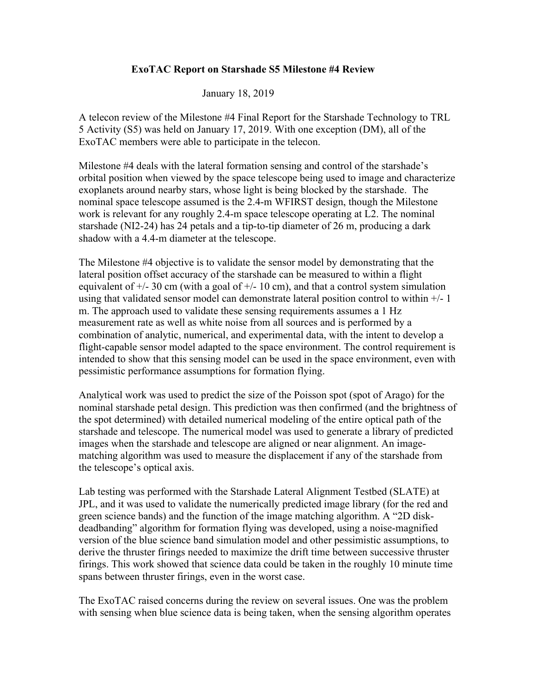## **ExoTAC Report on Starshade S5 Milestone #4 Review**

January 18, 2019

A telecon review of the Milestone #4 Final Report for the Starshade Technology to TRL 5 Activity (S5) was held on January 17, 2019. With one exception (DM), all of the ExoTAC members were able to participate in the telecon.

Milestone #4 deals with the lateral formation sensing and control of the starshade's orbital position when viewed by the space telescope being used to image and characterize exoplanets around nearby stars, whose light is being blocked by the starshade. The nominal space telescope assumed is the 2.4-m WFIRST design, though the Milestone work is relevant for any roughly 2.4-m space telescope operating at L2. The nominal starshade (NI2-24) has 24 petals and a tip-to-tip diameter of 26 m, producing a dark shadow with a 4.4-m diameter at the telescope.

The Milestone #4 objective is to validate the sensor model by demonstrating that the lateral position offset accuracy of the starshade can be measured to within a flight equivalent of  $+/- 30$  cm (with a goal of  $+/- 10$  cm), and that a control system simulation using that validated sensor model can demonstrate lateral position control to within +/- 1 m. The approach used to validate these sensing requirements assumes a 1 Hz measurement rate as well as white noise from all sources and is performed by a combination of analytic, numerical, and experimental data, with the intent to develop a flight-capable sensor model adapted to the space environment. The control requirement is intended to show that this sensing model can be used in the space environment, even with pessimistic performance assumptions for formation flying.

Analytical work was used to predict the size of the Poisson spot (spot of Arago) for the nominal starshade petal design. This prediction was then confirmed (and the brightness of the spot determined) with detailed numerical modeling of the entire optical path of the starshade and telescope. The numerical model was used to generate a library of predicted images when the starshade and telescope are aligned or near alignment. An imagematching algorithm was used to measure the displacement if any of the starshade from the telescope's optical axis.

Lab testing was performed with the Starshade Lateral Alignment Testbed (SLATE) at JPL, and it was used to validate the numerically predicted image library (for the red and green science bands) and the function of the image matching algorithm. A "2D diskdeadbanding" algorithm for formation flying was developed, using a noise-magnified version of the blue science band simulation model and other pessimistic assumptions, to derive the thruster firings needed to maximize the drift time between successive thruster firings. This work showed that science data could be taken in the roughly 10 minute time spans between thruster firings, even in the worst case.

The ExoTAC raised concerns during the review on several issues. One was the problem with sensing when blue science data is being taken, when the sensing algorithm operates